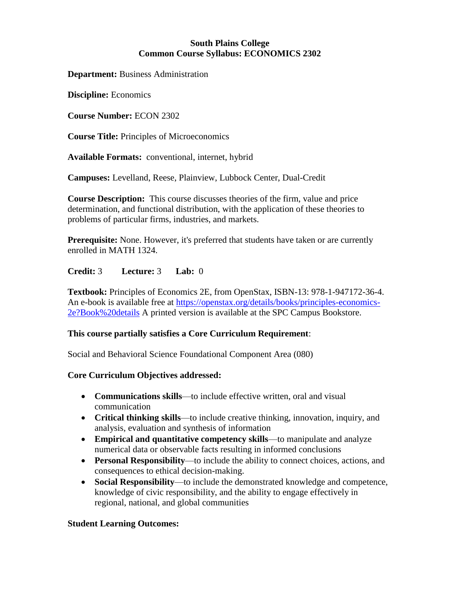### **South Plains College Common Course Syllabus: ECONOMICS 2302**

**Department:** Business Administration

**Discipline:** Economics

**Course Number:** ECON 2302

**Course Title:** Principles of Microeconomics

**Available Formats:** conventional, internet, hybrid

**Campuses:** Levelland, Reese, Plainview, Lubbock Center, Dual-Credit

**Course Description:** This course discusses theories of the firm, value and price determination, and functional distribution, with the application of these theories to problems of particular firms, industries, and markets.

**Prerequisite:** None. However, it's preferred that students have taken or are currently enrolled in MATH 1324.

## **Credit:** 3 **Lecture:** 3 **Lab:** 0

**Textbook:** Principles of Economics 2E, from OpenStax, ISBN-13: 978-1-947172-36-4. An e-book is available free at [https://openstax.org/details/books/principles-economics-](https://openstax.org/details/books/principles-economics-2e?Book%20details)[2e?Book%20details](https://openstax.org/details/books/principles-economics-2e?Book%20details) A printed version is available at the SPC Campus Bookstore.

#### **This course partially satisfies a Core Curriculum Requirement**:

Social and Behavioral Science Foundational Component Area (080)

#### **Core Curriculum Objectives addressed:**

- **Communications skills**—to include effective written, oral and visual communication
- **Critical thinking skills**—to include creative thinking, innovation, inquiry, and analysis, evaluation and synthesis of information
- **Empirical and quantitative competency skills**—to manipulate and analyze numerical data or observable facts resulting in informed conclusions
- **Personal Responsibility**—to include the ability to connect choices, actions, and consequences to ethical decision-making.
- **Social Responsibility**—to include the demonstrated knowledge and competence, knowledge of civic responsibility, and the ability to engage effectively in regional, national, and global communities

#### **Student Learning Outcomes:**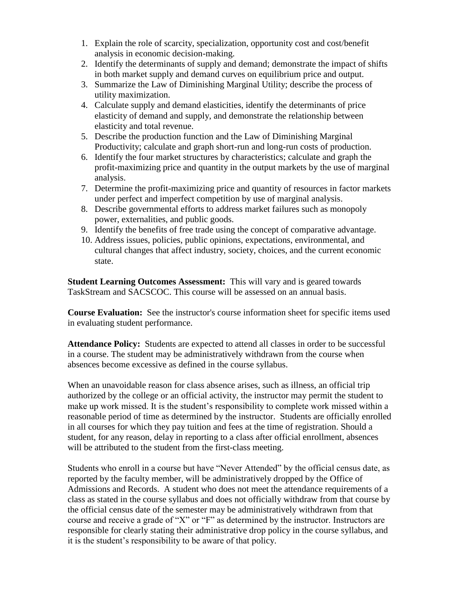- 1. Explain the role of scarcity, specialization, opportunity cost and cost/benefit analysis in economic decision-making.
- 2. Identify the determinants of supply and demand; demonstrate the impact of shifts in both market supply and demand curves on equilibrium price and output.
- 3. Summarize the Law of Diminishing Marginal Utility; describe the process of utility maximization.
- 4. Calculate supply and demand elasticities, identify the determinants of price elasticity of demand and supply, and demonstrate the relationship between elasticity and total revenue.
- 5. Describe the production function and the Law of Diminishing Marginal Productivity; calculate and graph short-run and long-run costs of production.
- 6. Identify the four market structures by characteristics; calculate and graph the profit-maximizing price and quantity in the output markets by the use of marginal analysis.
- 7. Determine the profit-maximizing price and quantity of resources in factor markets under perfect and imperfect competition by use of marginal analysis.
- 8. Describe governmental efforts to address market failures such as monopoly power, externalities, and public goods.
- 9. Identify the benefits of free trade using the concept of comparative advantage.
- 10. Address issues, policies, public opinions, expectations, environmental, and cultural changes that affect industry, society, choices, and the current economic state.

**Student Learning Outcomes Assessment:** This will vary and is geared towards TaskStream and SACSCOC. This course will be assessed on an annual basis.

**Course Evaluation:** See the instructor's course information sheet for specific items used in evaluating student performance.

**Attendance Policy:** Students are expected to attend all classes in order to be successful in a course. The student may be administratively withdrawn from the course when absences become excessive as defined in the course syllabus.

When an unavoidable reason for class absence arises, such as illness, an official trip authorized by the college or an official activity, the instructor may permit the student to make up work missed. It is the student's responsibility to complete work missed within a reasonable period of time as determined by the instructor. Students are officially enrolled in all courses for which they pay tuition and fees at the time of registration. Should a student, for any reason, delay in reporting to a class after official enrollment, absences will be attributed to the student from the first-class meeting.

Students who enroll in a course but have "Never Attended" by the official census date, as reported by the faculty member, will be administratively dropped by the Office of Admissions and Records. A student who does not meet the attendance requirements of a class as stated in the course syllabus and does not officially withdraw from that course by the official census date of the semester may be administratively withdrawn from that course and receive a grade of "X" or "F" as determined by the instructor. Instructors are responsible for clearly stating their administrative drop policy in the course syllabus, and it is the student's responsibility to be aware of that policy.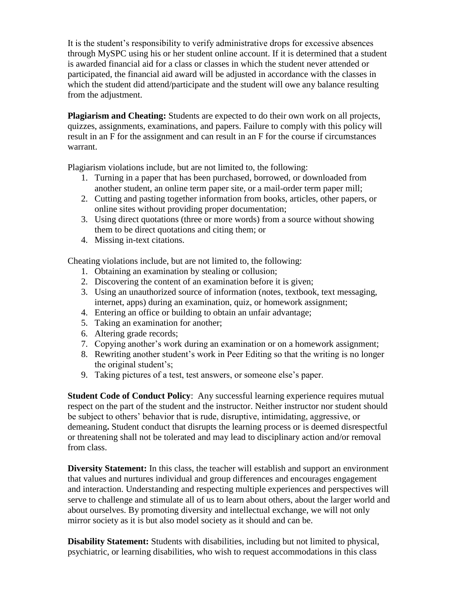It is the student's responsibility to verify administrative drops for excessive absences through MySPC using his or her student online account. If it is determined that a student is awarded financial aid for a class or classes in which the student never attended or participated, the financial aid award will be adjusted in accordance with the classes in which the student did attend/participate and the student will owe any balance resulting from the adjustment.

**Plagiarism and Cheating:** Students are expected to do their own work on all projects, quizzes, assignments, examinations, and papers. Failure to comply with this policy will result in an F for the assignment and can result in an F for the course if circumstances warrant.

Plagiarism violations include, but are not limited to, the following:

- 1. Turning in a paper that has been purchased, borrowed, or downloaded from another student, an online term paper site, or a mail-order term paper mill;
- 2. Cutting and pasting together information from books, articles, other papers, or online sites without providing proper documentation;
- 3. Using direct quotations (three or more words) from a source without showing them to be direct quotations and citing them; or
- 4. Missing in-text citations.

Cheating violations include, but are not limited to, the following:

- 1. Obtaining an examination by stealing or collusion;
- 2. Discovering the content of an examination before it is given;
- 3. Using an unauthorized source of information (notes, textbook, text messaging, internet, apps) during an examination, quiz, or homework assignment;
- 4. Entering an office or building to obtain an unfair advantage;
- 5. Taking an examination for another;
- 6. Altering grade records;
- 7. Copying another's work during an examination or on a homework assignment;
- 8. Rewriting another student's work in Peer Editing so that the writing is no longer the original student's;
- 9. Taking pictures of a test, test answers, or someone else's paper.

**Student Code of Conduct Policy:** Any successful learning experience requires mutual respect on the part of the student and the instructor. Neither instructor nor student should be subject to others' behavior that is rude, disruptive, intimidating, aggressive, or demeaning**.** Student conduct that disrupts the learning process or is deemed disrespectful or threatening shall not be tolerated and may lead to disciplinary action and/or removal from class.

**Diversity Statement:** In this class, the teacher will establish and support an environment that values and nurtures individual and group differences and encourages engagement and interaction. Understanding and respecting multiple experiences and perspectives will serve to challenge and stimulate all of us to learn about others, about the larger world and about ourselves. By promoting diversity and intellectual exchange, we will not only mirror society as it is but also model society as it should and can be.

**Disability Statement:** Students with disabilities, including but not limited to physical, psychiatric, or learning disabilities, who wish to request accommodations in this class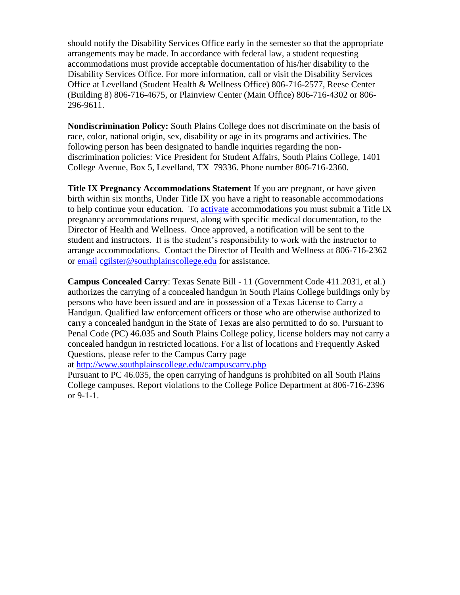should notify the Disability Services Office early in the semester so that the appropriate arrangements may be made. In accordance with federal law, a student requesting accommodations must provide acceptable documentation of his/her disability to the Disability Services Office. For more information, call or visit the Disability Services Office at Levelland (Student Health & Wellness Office) 806-716-2577, Reese Center (Building 8) 806-716-4675, or Plainview Center (Main Office) 806-716-4302 or 806- 296-9611.

**Nondiscrimination Policy:** South Plains College does not discriminate on the basis of race, color, national origin, sex, disability or age in its programs and activities. The following person has been designated to handle inquiries regarding the nondiscrimination policies: Vice President for Student Affairs, South Plains College, 1401 College Avenue, Box 5, Levelland, TX 79336. Phone number 806-716-2360.

**Title IX Pregnancy Accommodations Statement** If you are pregnant, or have given birth within six months, Under Title IX you have a right to reasonable accommodations to help continue your education. To [activate](http://www.southplainscollege.edu/employees/manualshandbooks/facultyhandbook/sec4.php) accommodations you must submit a Title IX pregnancy accommodations request, along with specific medical documentation, to the Director of Health and Wellness. Once approved, a notification will be sent to the student and instructors. It is the student's responsibility to work with the instructor to arrange accommodations. Contact the Director of Health and Wellness at 806-716-2362 or [email](http://www.southplainscollege.edu/employees/manualshandbooks/facultyhandbook/sec4.php) [cgilster@southplainscollege.edu](mailto:cgilster@southplainscollege.edu) for assistance.

**Campus Concealed Carry**: Texas Senate Bill - 11 (Government Code 411.2031, et al.) authorizes the carrying of a concealed handgun in South Plains College buildings only by persons who have been issued and are in possession of a Texas License to Carry a Handgun. Qualified law enforcement officers or those who are otherwise authorized to carry a concealed handgun in the State of Texas are also permitted to do so. Pursuant to Penal Code (PC) 46.035 and South Plains College policy, license holders may not carry a concealed handgun in restricted locations. For a list of locations and Frequently Asked Questions, please refer to the Campus Carry page

at <http://www.southplainscollege.edu/campuscarry.php>

Pursuant to PC 46.035, the open carrying of handguns is prohibited on all South Plains College campuses. Report violations to the College Police Department at 806-716-2396 or 9-1-1.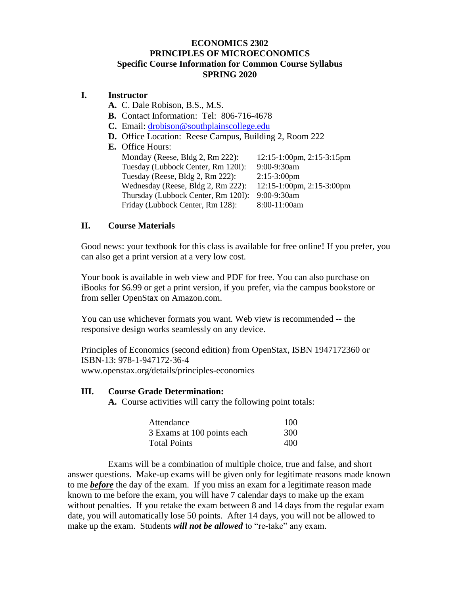# **ECONOMICS 2302 PRINCIPLES OF MICROECONOMICS Specific Course Information for Common Course Syllabus SPRING 2020**

# **I. Instructor**

- **A.** C. Dale Robison, B.S., M.S.
- **B.** Contact Information: Tel: 806-716-4678
- **C.** Email: [drobison@southplainscollege.edu](mailto:drobison@southplainscollege.edu)
- **D.** Office Location: Reese Campus, Building 2, Room 222
- **E.** Office Hours: Monday (Reese, Bldg 2, Rm 222): 12:15-1:00pm, 2:15-3:15pm Tuesday (Lubbock Center, Rm 120I): 9:00-9:30am Tuesday (Reese, Bldg 2, Rm 222): 2:15-3:00pm Wednesday (Reese, Bldg 2, Rm 222): 12:15-1:00pm, 2:15-3:00pm Thursday (Lubbock Center, Rm 120I): 9:00-9:30am Friday (Lubbock Center, Rm 128): 8:00-11:00am

## **II. Course Materials**

Good news: your textbook for this class is available for free online! If you prefer, you can also get a print version at a very low cost.

Your book is available in web view and PDF for free. You can also purchase on iBooks for \$6.99 or get a print version, if you prefer, via the campus bookstore or from seller OpenStax on Amazon.com.

You can use whichever formats you want. Web view is recommended -- the responsive design works seamlessly on any device.

Principles of Economics (second edition) from OpenStax, ISBN 1947172360 or ISBN-13: 978-1-947172-36-4 www.openstax.org/details/principles-economics

#### **III. Course Grade Determination:**

**A.** Course activities will carry the following point totals:

| Attendance                 | 100 |
|----------------------------|-----|
| 3 Exams at 100 points each | 300 |
| <b>Total Points</b>        | 400 |

Exams will be a combination of multiple choice, true and false, and short answer questions. Make-up exams will be given only for legitimate reasons made known to me *before* the day of the exam. If you miss an exam for a legitimate reason made known to me before the exam, you will have 7 calendar days to make up the exam without penalties. If you retake the exam between 8 and 14 days from the regular exam date, you will automatically lose 50 points. After 14 days, you will not be allowed to make up the exam. Students *will not be allowed* to "re-take" any exam.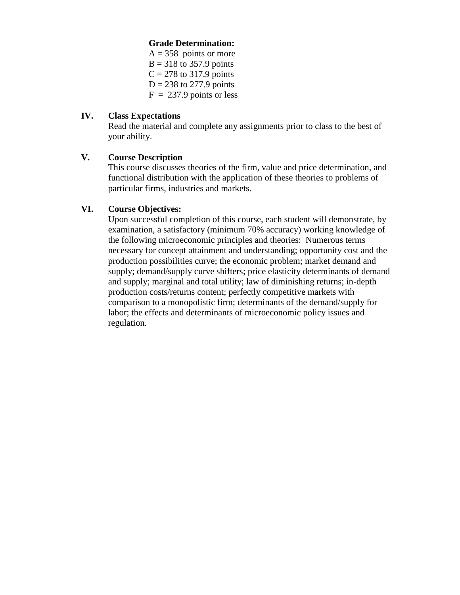### **Grade Determination:**

 $A = 358$  points or more  $B = 318$  to 357.9 points  $C = 278$  to 317.9 points  $D = 238$  to 277.9 points  $F = 237.9$  points or less

#### **IV. Class Expectations**

Read the material and complete any assignments prior to class to the best of your ability.

## **V. Course Description**

This course discusses theories of the firm, value and price determination, and functional distribution with the application of these theories to problems of particular firms, industries and markets.

# **VI. Course Objectives:**

Upon successful completion of this course, each student will demonstrate, by examination, a satisfactory (minimum 70% accuracy) working knowledge of the following microeconomic principles and theories: Numerous terms necessary for concept attainment and understanding; opportunity cost and the production possibilities curve; the economic problem; market demand and supply; demand/supply curve shifters; price elasticity determinants of demand and supply; marginal and total utility; law of diminishing returns; in-depth production costs/returns content; perfectly competitive markets with comparison to a monopolistic firm; determinants of the demand/supply for labor; the effects and determinants of microeconomic policy issues and regulation.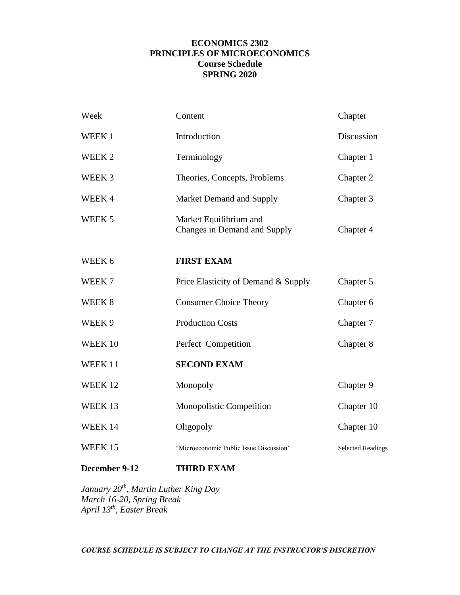## **ECONOMICS 2302 PRINCIPLES OF MICROECONOMICS Course Schedule SPRING 2020**

| Week              | Content                                                | Chapter                  |
|-------------------|--------------------------------------------------------|--------------------------|
| WEEK 1            | Introduction                                           | Discussion               |
| WEEK <sub>2</sub> | Terminology                                            | Chapter 1                |
| WEEK <sub>3</sub> | Theories, Concepts, Problems                           | Chapter 2                |
| WEEK4             | Market Demand and Supply                               | Chapter 3                |
| WEEK <sub>5</sub> | Market Equilibrium and<br>Changes in Demand and Supply | Chapter 4                |
| WEEK 6            | <b>FIRST EXAM</b>                                      |                          |
| WEEK 7            | Price Elasticity of Demand & Supply                    | Chapter 5                |
| WEEK 8            | <b>Consumer Choice Theory</b>                          | Chapter 6                |
| WEEK 9            | <b>Production Costs</b>                                | Chapter 7                |
| WEEK 10           | Perfect Competition                                    | Chapter 8                |
| WEEK 11           | <b>SECOND EXAM</b>                                     |                          |
| WEEK 12           | Monopoly                                               | Chapter 9                |
| WEEK 13           | <b>Monopolistic Competition</b>                        | Chapter 10               |
| WEEK 14           | Oligopoly                                              | Chapter 10               |
| WEEK 15           | "Microeconomic Public Issue Discussion"                | <b>Selected Readings</b> |
| December 9-12     | <b>THIRD EXAM</b>                                      |                          |

*January 20th, Martin Luther King Day March 16-20, Spring Break April 13th, Easter Break*

*COURSE SCHEDULE IS SUBJECT TO CHANGE AT THE INSTRUCTOR'S DISCRETION*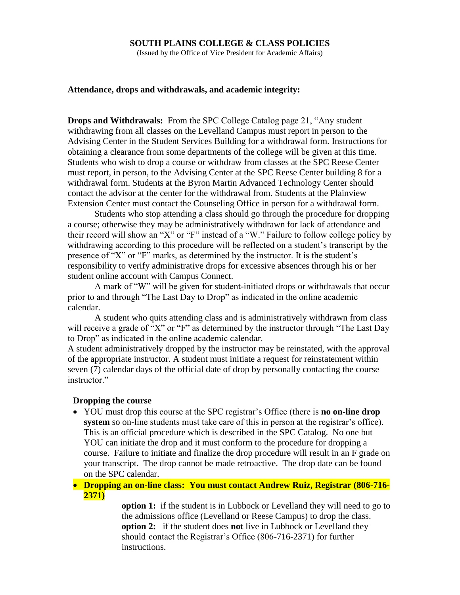#### **SOUTH PLAINS COLLEGE & CLASS POLICIES**

(Issued by the Office of Vice President for Academic Affairs)

#### **Attendance, drops and withdrawals, and academic integrity:**

**Drops and Withdrawals:** From the SPC College Catalog page 21, "Any student withdrawing from all classes on the Levelland Campus must report in person to the Advising Center in the Student Services Building for a withdrawal form. Instructions for obtaining a clearance from some departments of the college will be given at this time. Students who wish to drop a course or withdraw from classes at the SPC Reese Center must report, in person, to the Advising Center at the SPC Reese Center building 8 for a withdrawal form. Students at the Byron Martin Advanced Technology Center should contact the advisor at the center for the withdrawal from. Students at the Plainview Extension Center must contact the Counseling Office in person for a withdrawal form.

Students who stop attending a class should go through the procedure for dropping a course; otherwise they may be administratively withdrawn for lack of attendance and their record will show an "X" or "F" instead of a "W." Failure to follow college policy by withdrawing according to this procedure will be reflected on a student's transcript by the presence of "X" or "F" marks, as determined by the instructor. It is the student's responsibility to verify administrative drops for excessive absences through his or her student online account with Campus Connect.

A mark of "W" will be given for student-initiated drops or withdrawals that occur prior to and through "The Last Day to Drop" as indicated in the online academic calendar.

A student who quits attending class and is administratively withdrawn from class will receive a grade of "X" or "F" as determined by the instructor through "The Last Day" to Drop" as indicated in the online academic calendar.

A student administratively dropped by the instructor may be reinstated, with the approval of the appropriate instructor. A student must initiate a request for reinstatement within seven (7) calendar days of the official date of drop by personally contacting the course instructor."

#### **Dropping the course**

 YOU must drop this course at the SPC registrar's Office (there is **no on-line drop system** so on-line students must take care of this in person at the registrar's office). This is an official procedure which is described in the SPC Catalog. No one but YOU can initiate the drop and it must conform to the procedure for dropping a course. Failure to initiate and finalize the drop procedure will result in an F grade on your transcript. The drop cannot be made retroactive. The drop date can be found on the SPC calendar.

#### **Dropping an on-line class: You must contact Andrew Ruiz, Registrar (806-716- 2371)**

**option 1:** if the student is in Lubbock or Levelland they will need to go to the admissions office (Levelland or Reese Campus) to drop the class. **option 2:** if the student does **not** live in Lubbock or Levelland they should contact the Registrar's Office (806-716-2371) for further instructions.